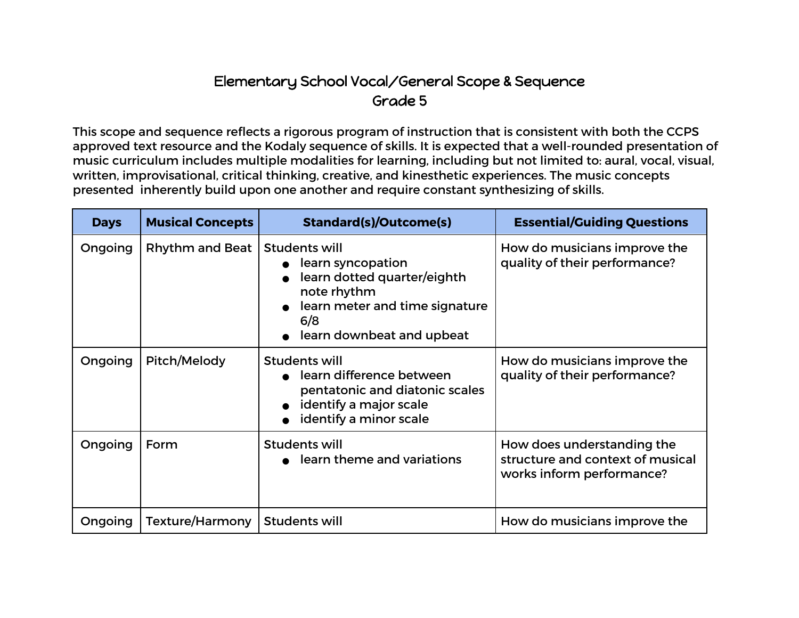## Elementary School Vocal/General Scope & Sequence Grade 5

This scope and sequence reflects a rigorous program of instruction that is consistent with both the CCPS approved text resource and the Kodaly sequence of skills. It is expected that a well-rounded presentation of music curriculum includes multiple modalities for learning, including but not limited to: aural, vocal, visual, written, improvisational, critical thinking, creative, and kinesthetic experiences. The music concepts presented inherently build upon one another and require constant synthesizing of skills.

| <b>Days</b> | <b>Musical Concepts</b> | <b>Standard(s)/Outcome(s)</b>                                                                                                                          | <b>Essential/Guiding Questions</b>                                                          |
|-------------|-------------------------|--------------------------------------------------------------------------------------------------------------------------------------------------------|---------------------------------------------------------------------------------------------|
| Ongoing     | Rhythm and Beat         | Students will<br>learn syncopation<br>learn dotted quarter/eighth<br>note rhythm<br>learn meter and time signature<br>6/8<br>learn downbeat and upbeat | How do musicians improve the<br>quality of their performance?                               |
| Ongoing     | Pitch/Melody            | <b>Students will</b><br>learn difference between<br>pentatonic and diatonic scales<br>identify a major scale<br>identify a minor scale                 | How do musicians improve the<br>quality of their performance?                               |
| Ongoing     | Form                    | <b>Students will</b><br>• learn theme and variations                                                                                                   | How does understanding the<br>structure and context of musical<br>works inform performance? |
| Ongoing     | Texture/Harmony         | Students will                                                                                                                                          | How do musicians improve the                                                                |